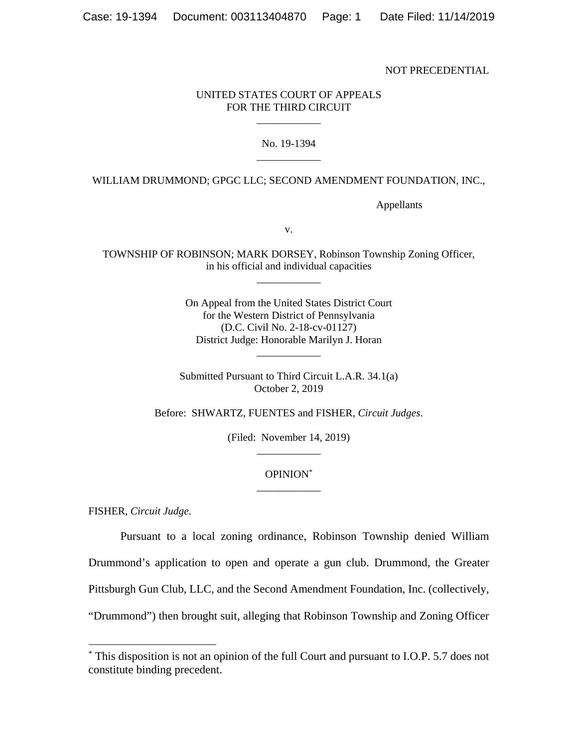NOT PRECEDENTIAL

## UNITED STATES COURT OF APPEALS FOR THE THIRD CIRCUIT \_\_\_\_\_\_\_\_\_\_\_\_

## No. 19-1394 \_\_\_\_\_\_\_\_\_\_\_\_

## WILLIAM DRUMMOND; GPGC LLC; SECOND AMENDMENT FOUNDATION, INC.,

Appellants

v.

TOWNSHIP OF ROBINSON; MARK DORSEY, Robinson Township Zoning Officer, in his official and individual capacities \_\_\_\_\_\_\_\_\_\_\_\_

> On Appeal from the United States District Court for the Western District of Pennsylvania (D.C. Civil No. 2-18-cv-01127) District Judge: Honorable Marilyn J. Horan

> > \_\_\_\_\_\_\_\_\_\_\_\_

Submitted Pursuant to Third Circuit L.A.R. 34.1(a) October 2, 2019

Before: SHWARTZ, FUENTES and FISHER, *Circuit Judges*.

(Filed: November 14, 2019) \_\_\_\_\_\_\_\_\_\_\_\_

## OPINION\* \_\_\_\_\_\_\_\_\_\_\_\_

FISHER, *Circuit Judge*.

-

Pursuant to a local zoning ordinance, Robinson Township denied William Drummond's application to open and operate a gun club. Drummond, the Greater Pittsburgh Gun Club, LLC, and the Second Amendment Foundation, Inc. (collectively, "Drummond") then brought suit, alleging that Robinson Township and Zoning Officer

<sup>\*</sup> This disposition is not an opinion of the full Court and pursuant to I.O.P. 5.7 does not constitute binding precedent.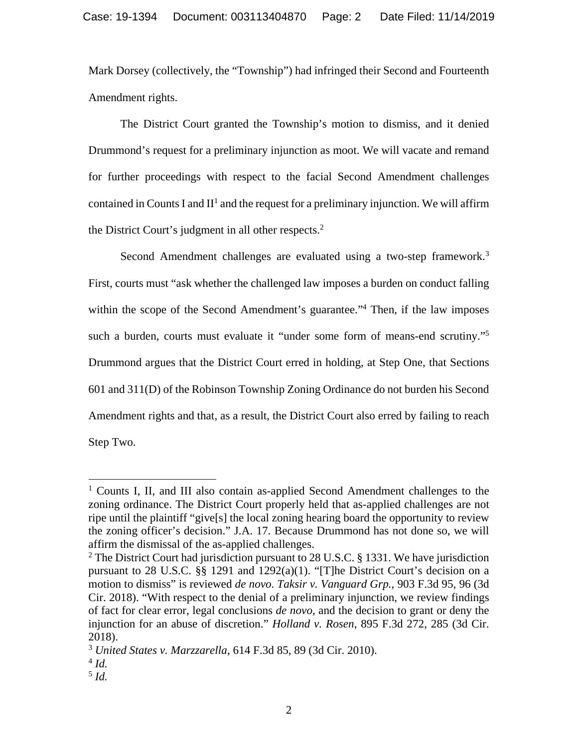Mark Dorsey (collectively, the "Township") had infringed their Second and Fourteenth Amendment rights.

The District Court granted the Township's motion to dismiss, and it denied Drummond's request for a preliminary injunction as moot. We will vacate and remand for further proceedings with respect to the facial Second Amendment challenges contained in Counts I and  $II<sup>1</sup>$  and the request for a preliminary injunction. We will affirm the District Court's judgment in all other respects.<sup>2</sup>

Second Amendment challenges are evaluated using a two-step framework.<sup>3</sup> First, courts must "ask whether the challenged law imposes a burden on conduct falling within the scope of the Second Amendment's guarantee."<sup>4</sup> Then, if the law imposes such a burden, courts must evaluate it "under some form of means-end scrutiny."<sup>5</sup> Drummond argues that the District Court erred in holding, at Step One, that Sections 601 and 311(D) of the Robinson Township Zoning Ordinance do not burden his Second Amendment rights and that, as a result, the District Court also erred by failing to reach Step Two.

-

<sup>&</sup>lt;sup>1</sup> Counts I, II, and III also contain as-applied Second Amendment challenges to the zoning ordinance. The District Court properly held that as-applied challenges are not ripe until the plaintiff "give[s] the local zoning hearing board the opportunity to review the zoning officer's decision." J.A. 17. Because Drummond has not done so, we will affirm the dismissal of the as-applied challenges.

<sup>&</sup>lt;sup>2</sup> The District Court had jurisdiction pursuant to 28 U.S.C. § 1331. We have jurisdiction pursuant to 28 U.S.C. §§ 1291 and 1292(a)(1). "[T]he District Court's decision on a motion to dismiss" is reviewed *de novo*. *Taksir v. Vanguard Grp.*, 903 F.3d 95, 96 (3d Cir. 2018). "With respect to the denial of a preliminary injunction, we review findings of fact for clear error, legal conclusions *de novo*, and the decision to grant or deny the injunction for an abuse of discretion." *Holland v. Rosen*, 895 F.3d 272, 285 (3d Cir. 2018).

<sup>3</sup> *United States v. Marzzarella*, 614 F.3d 85, 89 (3d Cir. 2010).

 $^{4}$  *Id.* 

<sup>5</sup> *Id.*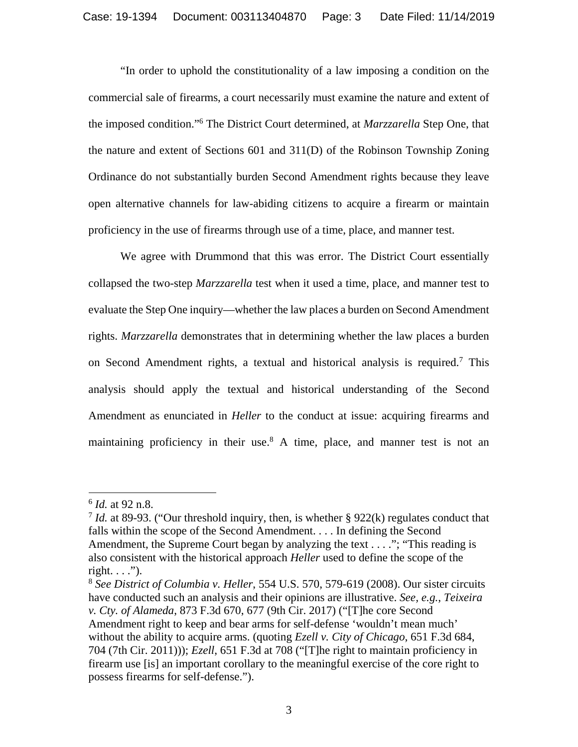"In order to uphold the constitutionality of a law imposing a condition on the commercial sale of firearms, a court necessarily must examine the nature and extent of the imposed condition."6 The District Court determined, at *Marzzarella* Step One, that the nature and extent of Sections 601 and 311(D) of the Robinson Township Zoning Ordinance do not substantially burden Second Amendment rights because they leave open alternative channels for law-abiding citizens to acquire a firearm or maintain proficiency in the use of firearms through use of a time, place, and manner test.

We agree with Drummond that this was error. The District Court essentially collapsed the two-step *Marzzarella* test when it used a time, place, and manner test to evaluate the Step One inquiry—whether the law places a burden on Second Amendment rights. *Marzzarella* demonstrates that in determining whether the law places a burden on Second Amendment rights, a textual and historical analysis is required.7 This analysis should apply the textual and historical understanding of the Second Amendment as enunciated in *Heller* to the conduct at issue: acquiring firearms and maintaining proficiency in their use.<sup>8</sup> A time, place, and manner test is not an

-

<sup>6</sup> *Id.* at 92 n.8.

<sup>7</sup> *Id.* at 89-93. ("Our threshold inquiry, then, is whether § 922(k) regulates conduct that falls within the scope of the Second Amendment. . . . In defining the Second Amendment, the Supreme Court began by analyzing the text . . . ."; "This reading is also consistent with the historical approach *Heller* used to define the scope of the right.  $\ldots$ ").

<sup>8</sup> *See District of Columbia v. Heller*, 554 U.S. 570, 579-619 (2008). Our sister circuits have conducted such an analysis and their opinions are illustrative. *See, e.g.*, *Teixeira v. Cty. of Alameda*, 873 F.3d 670, 677 (9th Cir. 2017) ("[T]he core Second Amendment right to keep and bear arms for self-defense 'wouldn't mean much' without the ability to acquire arms. (quoting *Ezell v. City of Chicago*, 651 F.3d 684, 704 (7th Cir. 2011))); *Ezell*, 651 F.3d at 708 ("[T]he right to maintain proficiency in firearm use [is] an important corollary to the meaningful exercise of the core right to possess firearms for self-defense.").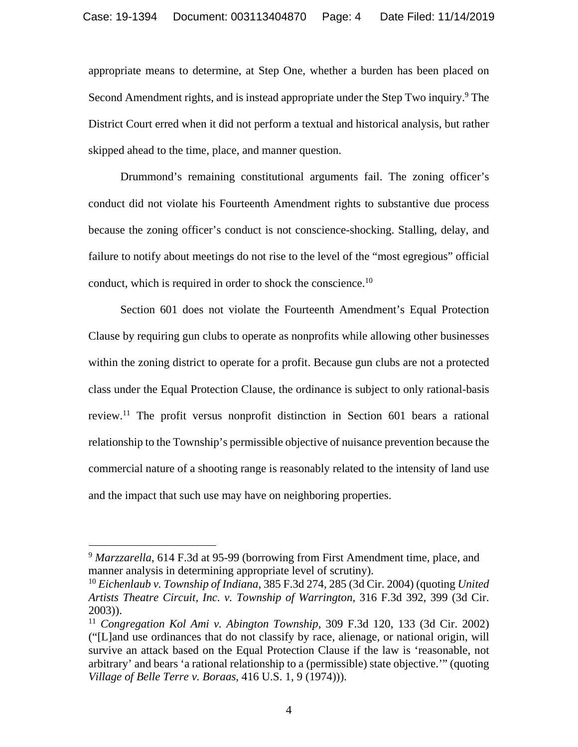appropriate means to determine, at Step One, whether a burden has been placed on Second Amendment rights, and is instead appropriate under the Step Two inquiry.<sup>9</sup> The District Court erred when it did not perform a textual and historical analysis, but rather skipped ahead to the time, place, and manner question.

Drummond's remaining constitutional arguments fail. The zoning officer's conduct did not violate his Fourteenth Amendment rights to substantive due process because the zoning officer's conduct is not conscience-shocking. Stalling, delay, and failure to notify about meetings do not rise to the level of the "most egregious" official conduct, which is required in order to shock the conscience.<sup>10</sup>

Section 601 does not violate the Fourteenth Amendment's Equal Protection Clause by requiring gun clubs to operate as nonprofits while allowing other businesses within the zoning district to operate for a profit. Because gun clubs are not a protected class under the Equal Protection Clause, the ordinance is subject to only rational-basis review.11 The profit versus nonprofit distinction in Section 601 bears a rational relationship to the Township's permissible objective of nuisance prevention because the commercial nature of a shooting range is reasonably related to the intensity of land use and the impact that such use may have on neighboring properties.

-

<sup>9</sup> *Marzzarella*, 614 F.3d at 95-99 (borrowing from First Amendment time, place, and manner analysis in determining appropriate level of scrutiny).

<sup>10</sup> *Eichenlaub v. Township of Indiana*, 385 F.3d 274, 285 (3d Cir. 2004) (quoting *United Artists Theatre Circuit, Inc. v. Township of Warrington*, 316 F.3d 392, 399 (3d Cir. 2003)).

<sup>11</sup> *Congregation Kol Ami v. Abington Township*, 309 F.3d 120, 133 (3d Cir. 2002) ("[L]and use ordinances that do not classify by race, alienage, or national origin, will survive an attack based on the Equal Protection Clause if the law is 'reasonable, not arbitrary' and bears 'a rational relationship to a (permissible) state objective.'" (quoting *Village of Belle Terre v. Boraas*, 416 U.S. 1, 9 (1974))).